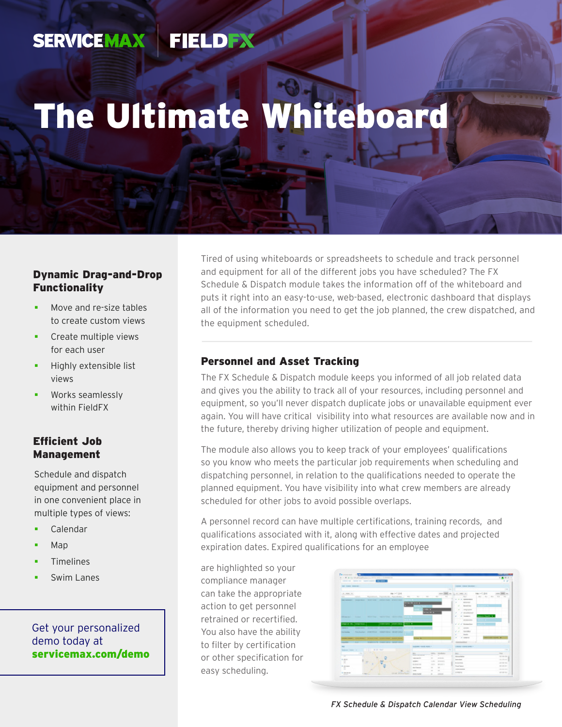#### **SERVICEMAX** FIELDEN

# The Ultimate Whiteboard

## Dynamic Drag-and-Drop Functionality

- Move and re-size tables to create custom views
- Create multiple views for each user
- Highly extensible list views
- Works seamlessly within FieldFX

## Efficient Job Management

Schedule and dispatch equipment and personnel in one convenient place in multiple types of views:

- Calendar
- Map
- Timelines
- Swim Lanes

## Get your personalized demo today at [servicemax.com/demo](http://servicemax.com/demo)

Tired of using whiteboards or spreadsheets to schedule and track personnel and equipment for all of the different jobs you have scheduled? The FX Schedule & Dispatch module takes the information off of the whiteboard and puts it right into an easy-to-use, web-based, electronic dashboard that displays all of the information you need to get the job planned, the crew dispatched, and the equipment scheduled.

## Personnel and Asset Tracking

The FX Schedule & Dispatch module keeps you informed of all job related data and gives you the ability to track all of your resources, including personnel and equipment, so you'll never dispatch duplicate jobs or unavailable equipment ever again. You will have critical visibility into what resources are available now and in the future, thereby driving higher utilization of people and equipment.

The module also allows you to keep track of your employees' qualifications so you know who meets the particular job requirements when scheduling and dispatching personnel, in relation to the qualifications needed to operate the planned equipment. You have visibility into what crew members are already scheduled for other jobs to avoid possible overlaps.

A personnel record can have multiple certifications, training records, and qualifications associated with it, along with effective dates and projected expiration dates. Expired qualifications for an employee

are highlighted so your compliance manager can take the appropriate action to get personnel retrained or recertified. You also have the ability to filter by certification or other specification for easy scheduling.

| contract there are constrained to the and<br><b>SAN CARD BOROUGH</b><br>comment comment industrials :<br>$\sim$<br>me i vil 204<br>ing in C. End<br>-----<br>12. Janet 11.<br>L. L. HELD<br>seen Detail on<br>since Painters Harrison and Farmers . We want<br>Telectricity<br>$\sim$<br>$\sim$<br>-<br>Rd Rd Rd<br>$-0.0$ $-0.0$<br><b>SILLER</b><br>to at an assumption<br>__<br>the second complete three controls and provided a second con-<br>- Brigade<br>$\sim$<br><b>CONTRACTOR</b><br><b>Bondellan</b><br>÷<br>$-11$<br>a payable<br>$-1$<br>×<br>A monthly<br><b>Search Seattle St</b><br>all all beatractic<br>Make I had think with the shifting<br>. .<br><b>STATISTICS</b><br>ongs on the compression. I<br>comments interesting powers at<br>C. C. C. International<br>continuous continuous committee and continuous<br>of the season<br>---<br>A. A. Constitute<br><b>PALAUDAY, PIREPROD. INSPIRED MODELED</b><br><b>STATISTICS</b><br>all the basic<br>a comment<br>--<br>www.wat- nor-way: wone co position boxes<br>LUMBER 1. LUC  PURPERTY COMPANY OF BUILDING<br><b>Representative Control</b><br><b>RANGEMENT FRANCH BASED &amp; COMPANY</b><br><b>CONTRACTOR</b> CONTRACTOR<br>$\overline{\phantom{a}}$<br><b>Bill Ser</b><br>Seattleberg Constitution of the<br><b>START</b><br><b>ISSN.</b> SANDALE<br>man 1.<br>Solution in<br>-<br><b>CONTRACTOR</b><br>----<br>-<br><b><i>Colombia</i></b><br><b>CONTRACTOR</b><br>and state<br>--<br><b>Contract Manager</b><br>$\sim$<br>country.<br>LONG BOSTON<br><b>STATE OF</b><br>×<br>$\sim$<br><b>SCHOOL</b><br><b>Brown and</b><br>THE ROAD<br><b>Theat Service</b><br><b>Linkswort</b><br>declares.<br>$\sim$<br>$\sim$<br>-<br>----<br>$\frac{1}{2}$<br>$\sim$ | Ferreston 1973        | 1. 1. R. A. Inc. & Alexander and Constitution Constitution of |  |  |  |  |                 |  | 日本田山              |
|------------------------------------------------------------------------------------------------------------------------------------------------------------------------------------------------------------------------------------------------------------------------------------------------------------------------------------------------------------------------------------------------------------------------------------------------------------------------------------------------------------------------------------------------------------------------------------------------------------------------------------------------------------------------------------------------------------------------------------------------------------------------------------------------------------------------------------------------------------------------------------------------------------------------------------------------------------------------------------------------------------------------------------------------------------------------------------------------------------------------------------------------------------------------------------------------------------------------------------------------------------------------------------------------------------------------------------------------------------------------------------------------------------------------------------------------------------------------------------------------------------------------------------------------------------------------------------------------------------------------------------------------------------------------------------------------------------------------------------------|-----------------------|---------------------------------------------------------------|--|--|--|--|-----------------|--|-------------------|
|                                                                                                                                                                                                                                                                                                                                                                                                                                                                                                                                                                                                                                                                                                                                                                                                                                                                                                                                                                                                                                                                                                                                                                                                                                                                                                                                                                                                                                                                                                                                                                                                                                                                                                                                          |                       |                                                               |  |  |  |  |                 |  | 4.18              |
|                                                                                                                                                                                                                                                                                                                                                                                                                                                                                                                                                                                                                                                                                                                                                                                                                                                                                                                                                                                                                                                                                                                                                                                                                                                                                                                                                                                                                                                                                                                                                                                                                                                                                                                                          |                       |                                                               |  |  |  |  |                 |  |                   |
|                                                                                                                                                                                                                                                                                                                                                                                                                                                                                                                                                                                                                                                                                                                                                                                                                                                                                                                                                                                                                                                                                                                                                                                                                                                                                                                                                                                                                                                                                                                                                                                                                                                                                                                                          |                       |                                                               |  |  |  |  |                 |  | $-$               |
|                                                                                                                                                                                                                                                                                                                                                                                                                                                                                                                                                                                                                                                                                                                                                                                                                                                                                                                                                                                                                                                                                                                                                                                                                                                                                                                                                                                                                                                                                                                                                                                                                                                                                                                                          |                       |                                                               |  |  |  |  |                 |  |                   |
|                                                                                                                                                                                                                                                                                                                                                                                                                                                                                                                                                                                                                                                                                                                                                                                                                                                                                                                                                                                                                                                                                                                                                                                                                                                                                                                                                                                                                                                                                                                                                                                                                                                                                                                                          |                       |                                                               |  |  |  |  |                 |  |                   |
|                                                                                                                                                                                                                                                                                                                                                                                                                                                                                                                                                                                                                                                                                                                                                                                                                                                                                                                                                                                                                                                                                                                                                                                                                                                                                                                                                                                                                                                                                                                                                                                                                                                                                                                                          |                       |                                                               |  |  |  |  |                 |  |                   |
|                                                                                                                                                                                                                                                                                                                                                                                                                                                                                                                                                                                                                                                                                                                                                                                                                                                                                                                                                                                                                                                                                                                                                                                                                                                                                                                                                                                                                                                                                                                                                                                                                                                                                                                                          |                       |                                                               |  |  |  |  |                 |  |                   |
|                                                                                                                                                                                                                                                                                                                                                                                                                                                                                                                                                                                                                                                                                                                                                                                                                                                                                                                                                                                                                                                                                                                                                                                                                                                                                                                                                                                                                                                                                                                                                                                                                                                                                                                                          |                       |                                                               |  |  |  |  |                 |  |                   |
|                                                                                                                                                                                                                                                                                                                                                                                                                                                                                                                                                                                                                                                                                                                                                                                                                                                                                                                                                                                                                                                                                                                                                                                                                                                                                                                                                                                                                                                                                                                                                                                                                                                                                                                                          |                       |                                                               |  |  |  |  |                 |  |                   |
|                                                                                                                                                                                                                                                                                                                                                                                                                                                                                                                                                                                                                                                                                                                                                                                                                                                                                                                                                                                                                                                                                                                                                                                                                                                                                                                                                                                                                                                                                                                                                                                                                                                                                                                                          |                       |                                                               |  |  |  |  |                 |  |                   |
|                                                                                                                                                                                                                                                                                                                                                                                                                                                                                                                                                                                                                                                                                                                                                                                                                                                                                                                                                                                                                                                                                                                                                                                                                                                                                                                                                                                                                                                                                                                                                                                                                                                                                                                                          |                       |                                                               |  |  |  |  |                 |  |                   |
|                                                                                                                                                                                                                                                                                                                                                                                                                                                                                                                                                                                                                                                                                                                                                                                                                                                                                                                                                                                                                                                                                                                                                                                                                                                                                                                                                                                                                                                                                                                                                                                                                                                                                                                                          |                       |                                                               |  |  |  |  |                 |  |                   |
|                                                                                                                                                                                                                                                                                                                                                                                                                                                                                                                                                                                                                                                                                                                                                                                                                                                                                                                                                                                                                                                                                                                                                                                                                                                                                                                                                                                                                                                                                                                                                                                                                                                                                                                                          |                       |                                                               |  |  |  |  |                 |  |                   |
|                                                                                                                                                                                                                                                                                                                                                                                                                                                                                                                                                                                                                                                                                                                                                                                                                                                                                                                                                                                                                                                                                                                                                                                                                                                                                                                                                                                                                                                                                                                                                                                                                                                                                                                                          |                       |                                                               |  |  |  |  |                 |  |                   |
|                                                                                                                                                                                                                                                                                                                                                                                                                                                                                                                                                                                                                                                                                                                                                                                                                                                                                                                                                                                                                                                                                                                                                                                                                                                                                                                                                                                                                                                                                                                                                                                                                                                                                                                                          |                       |                                                               |  |  |  |  |                 |  |                   |
|                                                                                                                                                                                                                                                                                                                                                                                                                                                                                                                                                                                                                                                                                                                                                                                                                                                                                                                                                                                                                                                                                                                                                                                                                                                                                                                                                                                                                                                                                                                                                                                                                                                                                                                                          |                       |                                                               |  |  |  |  |                 |  |                   |
|                                                                                                                                                                                                                                                                                                                                                                                                                                                                                                                                                                                                                                                                                                                                                                                                                                                                                                                                                                                                                                                                                                                                                                                                                                                                                                                                                                                                                                                                                                                                                                                                                                                                                                                                          |                       |                                                               |  |  |  |  |                 |  |                   |
|                                                                                                                                                                                                                                                                                                                                                                                                                                                                                                                                                                                                                                                                                                                                                                                                                                                                                                                                                                                                                                                                                                                                                                                                                                                                                                                                                                                                                                                                                                                                                                                                                                                                                                                                          |                       |                                                               |  |  |  |  |                 |  |                   |
|                                                                                                                                                                                                                                                                                                                                                                                                                                                                                                                                                                                                                                                                                                                                                                                                                                                                                                                                                                                                                                                                                                                                                                                                                                                                                                                                                                                                                                                                                                                                                                                                                                                                                                                                          |                       |                                                               |  |  |  |  |                 |  |                   |
|                                                                                                                                                                                                                                                                                                                                                                                                                                                                                                                                                                                                                                                                                                                                                                                                                                                                                                                                                                                                                                                                                                                                                                                                                                                                                                                                                                                                                                                                                                                                                                                                                                                                                                                                          |                       |                                                               |  |  |  |  |                 |  |                   |
|                                                                                                                                                                                                                                                                                                                                                                                                                                                                                                                                                                                                                                                                                                                                                                                                                                                                                                                                                                                                                                                                                                                                                                                                                                                                                                                                                                                                                                                                                                                                                                                                                                                                                                                                          |                       |                                                               |  |  |  |  |                 |  | $\sim$            |
|                                                                                                                                                                                                                                                                                                                                                                                                                                                                                                                                                                                                                                                                                                                                                                                                                                                                                                                                                                                                                                                                                                                                                                                                                                                                                                                                                                                                                                                                                                                                                                                                                                                                                                                                          |                       |                                                               |  |  |  |  |                 |  |                   |
|                                                                                                                                                                                                                                                                                                                                                                                                                                                                                                                                                                                                                                                                                                                                                                                                                                                                                                                                                                                                                                                                                                                                                                                                                                                                                                                                                                                                                                                                                                                                                                                                                                                                                                                                          |                       |                                                               |  |  |  |  |                 |  | All changes of    |
|                                                                                                                                                                                                                                                                                                                                                                                                                                                                                                                                                                                                                                                                                                                                                                                                                                                                                                                                                                                                                                                                                                                                                                                                                                                                                                                                                                                                                                                                                                                                                                                                                                                                                                                                          |                       |                                                               |  |  |  |  |                 |  | ---               |
|                                                                                                                                                                                                                                                                                                                                                                                                                                                                                                                                                                                                                                                                                                                                                                                                                                                                                                                                                                                                                                                                                                                                                                                                                                                                                                                                                                                                                                                                                                                                                                                                                                                                                                                                          |                       |                                                               |  |  |  |  |                 |  | ---               |
|                                                                                                                                                                                                                                                                                                                                                                                                                                                                                                                                                                                                                                                                                                                                                                                                                                                                                                                                                                                                                                                                                                                                                                                                                                                                                                                                                                                                                                                                                                                                                                                                                                                                                                                                          |                       |                                                               |  |  |  |  |                 |  | <b>STATISTICS</b> |
|                                                                                                                                                                                                                                                                                                                                                                                                                                                                                                                                                                                                                                                                                                                                                                                                                                                                                                                                                                                                                                                                                                                                                                                                                                                                                                                                                                                                                                                                                                                                                                                                                                                                                                                                          |                       |                                                               |  |  |  |  |                 |  | -----             |
| <b>STAR AT Sear Service</b><br>$-2.001$<br><b>BRAND</b><br>$-$                                                                                                                                                                                                                                                                                                                                                                                                                                                                                                                                                                                                                                                                                                                                                                                                                                                                                                                                                                                                                                                                                                                                                                                                                                                                                                                                                                                                                                                                                                                                                                                                                                                                           | <b>A construction</b> |                                                               |  |  |  |  | <b>STARTING</b> |  | <b>STATISTICS</b> |